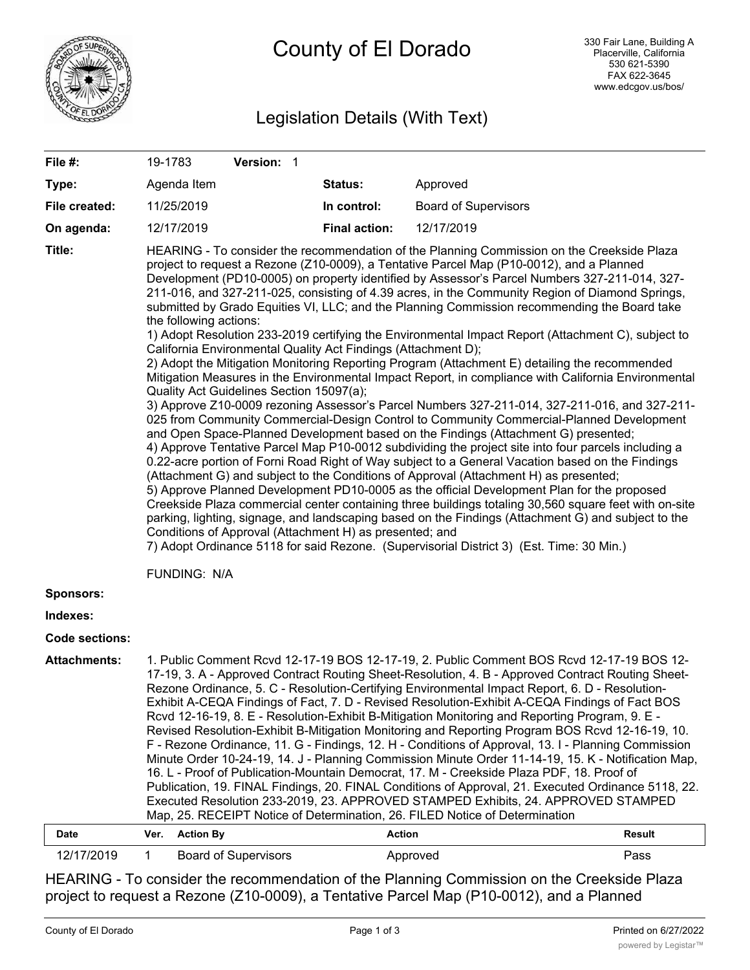

# Legislation Details (With Text)

| File #:               | 19-1783                                                                                                                                                                                                                                                                                                                                                                                                                                                                                                                                                                                                                                                                                                                                                                                                                                                                                                                                                                                                                                                                                                                                                                                                                                                                                                                                                                                                                                                                                                                                                                                                                                                                                                                                                                                                                                                                                                                                                                                                     |                  | Version: 1                  |                      |                             |        |
|-----------------------|-------------------------------------------------------------------------------------------------------------------------------------------------------------------------------------------------------------------------------------------------------------------------------------------------------------------------------------------------------------------------------------------------------------------------------------------------------------------------------------------------------------------------------------------------------------------------------------------------------------------------------------------------------------------------------------------------------------------------------------------------------------------------------------------------------------------------------------------------------------------------------------------------------------------------------------------------------------------------------------------------------------------------------------------------------------------------------------------------------------------------------------------------------------------------------------------------------------------------------------------------------------------------------------------------------------------------------------------------------------------------------------------------------------------------------------------------------------------------------------------------------------------------------------------------------------------------------------------------------------------------------------------------------------------------------------------------------------------------------------------------------------------------------------------------------------------------------------------------------------------------------------------------------------------------------------------------------------------------------------------------------------|------------------|-----------------------------|----------------------|-----------------------------|--------|
| Type:                 |                                                                                                                                                                                                                                                                                                                                                                                                                                                                                                                                                                                                                                                                                                                                                                                                                                                                                                                                                                                                                                                                                                                                                                                                                                                                                                                                                                                                                                                                                                                                                                                                                                                                                                                                                                                                                                                                                                                                                                                                             | Agenda Item      |                             | Status:              | Approved                    |        |
| File created:         |                                                                                                                                                                                                                                                                                                                                                                                                                                                                                                                                                                                                                                                                                                                                                                                                                                                                                                                                                                                                                                                                                                                                                                                                                                                                                                                                                                                                                                                                                                                                                                                                                                                                                                                                                                                                                                                                                                                                                                                                             | 11/25/2019       |                             | In control:          | <b>Board of Supervisors</b> |        |
| On agenda:            |                                                                                                                                                                                                                                                                                                                                                                                                                                                                                                                                                                                                                                                                                                                                                                                                                                                                                                                                                                                                                                                                                                                                                                                                                                                                                                                                                                                                                                                                                                                                                                                                                                                                                                                                                                                                                                                                                                                                                                                                             | 12/17/2019       |                             | <b>Final action:</b> | 12/17/2019                  |        |
| Title:                | HEARING - To consider the recommendation of the Planning Commission on the Creekside Plaza<br>project to request a Rezone (Z10-0009), a Tentative Parcel Map (P10-0012), and a Planned<br>Development (PD10-0005) on property identified by Assessor's Parcel Numbers 327-211-014, 327-<br>211-016, and 327-211-025, consisting of 4.39 acres, in the Community Region of Diamond Springs,<br>submitted by Grado Equities VI, LLC; and the Planning Commission recommending the Board take<br>the following actions:<br>1) Adopt Resolution 233-2019 certifying the Environmental Impact Report (Attachment C), subject to<br>California Environmental Quality Act Findings (Attachment D);<br>2) Adopt the Mitigation Monitoring Reporting Program (Attachment E) detailing the recommended<br>Mitigation Measures in the Environmental Impact Report, in compliance with California Environmental<br>Quality Act Guidelines Section 15097(a);<br>3) Approve Z10-0009 rezoning Assessor's Parcel Numbers 327-211-014, 327-211-016, and 327-211-<br>025 from Community Commercial-Design Control to Community Commercial-Planned Development<br>and Open Space-Planned Development based on the Findings (Attachment G) presented;<br>4) Approve Tentative Parcel Map P10-0012 subdividing the project site into four parcels including a<br>0.22-acre portion of Forni Road Right of Way subject to a General Vacation based on the Findings<br>(Attachment G) and subject to the Conditions of Approval (Attachment H) as presented;<br>5) Approve Planned Development PD10-0005 as the official Development Plan for the proposed<br>Creekside Plaza commercial center containing three buildings totaling 30,560 square feet with on-site<br>parking, lighting, signage, and landscaping based on the Findings (Attachment G) and subject to the<br>Conditions of Approval (Attachment H) as presented; and<br>7) Adopt Ordinance 5118 for said Rezone. (Supervisorial District 3) (Est. Time: 30 Min.) |                  |                             |                      |                             |        |
| <b>Sponsors:</b>      | FUNDING: N/A                                                                                                                                                                                                                                                                                                                                                                                                                                                                                                                                                                                                                                                                                                                                                                                                                                                                                                                                                                                                                                                                                                                                                                                                                                                                                                                                                                                                                                                                                                                                                                                                                                                                                                                                                                                                                                                                                                                                                                                                |                  |                             |                      |                             |        |
| Indexes:              |                                                                                                                                                                                                                                                                                                                                                                                                                                                                                                                                                                                                                                                                                                                                                                                                                                                                                                                                                                                                                                                                                                                                                                                                                                                                                                                                                                                                                                                                                                                                                                                                                                                                                                                                                                                                                                                                                                                                                                                                             |                  |                             |                      |                             |        |
| <b>Code sections:</b> |                                                                                                                                                                                                                                                                                                                                                                                                                                                                                                                                                                                                                                                                                                                                                                                                                                                                                                                                                                                                                                                                                                                                                                                                                                                                                                                                                                                                                                                                                                                                                                                                                                                                                                                                                                                                                                                                                                                                                                                                             |                  |                             |                      |                             |        |
| <b>Attachments:</b>   | 1. Public Comment Rcvd 12-17-19 BOS 12-17-19, 2. Public Comment BOS Rcvd 12-17-19 BOS 12-<br>17-19, 3. A - Approved Contract Routing Sheet-Resolution, 4. B - Approved Contract Routing Sheet-<br>Rezone Ordinance, 5. C - Resolution-Certifying Environmental Impact Report, 6. D - Resolution-<br>Exhibit A-CEQA Findings of Fact, 7. D - Revised Resolution-Exhibit A-CEQA Findings of Fact BOS<br>Rcvd 12-16-19, 8. E - Resolution-Exhibit B-Mitigation Monitoring and Reporting Program, 9. E -<br>Revised Resolution-Exhibit B-Mitigation Monitoring and Reporting Program BOS Rcvd 12-16-19, 10.<br>F - Rezone Ordinance, 11. G - Findings, 12. H - Conditions of Approval, 13. I - Planning Commission<br>Minute Order 10-24-19, 14. J - Planning Commission Minute Order 11-14-19, 15. K - Notification Map,<br>16. L - Proof of Publication-Mountain Democrat, 17. M - Creekside Plaza PDF, 18. Proof of<br>Publication, 19. FINAL Findings, 20. FINAL Conditions of Approval, 21. Executed Ordinance 5118, 22.<br>Executed Resolution 233-2019, 23. APPROVED STAMPED Exhibits, 24. APPROVED STAMPED<br>Map, 25. RECEIPT Notice of Determination, 26. FILED Notice of Determination                                                                                                                                                                                                                                                                                                                                                                                                                                                                                                                                                                                                                                                                                                                                                                                                               |                  |                             |                      |                             |        |
| Date                  | Ver.                                                                                                                                                                                                                                                                                                                                                                                                                                                                                                                                                                                                                                                                                                                                                                                                                                                                                                                                                                                                                                                                                                                                                                                                                                                                                                                                                                                                                                                                                                                                                                                                                                                                                                                                                                                                                                                                                                                                                                                                        | <b>Action By</b> |                             | <b>Action</b>        |                             | Result |
| 12/17/2019            | $\mathbf{1}$                                                                                                                                                                                                                                                                                                                                                                                                                                                                                                                                                                                                                                                                                                                                                                                                                                                                                                                                                                                                                                                                                                                                                                                                                                                                                                                                                                                                                                                                                                                                                                                                                                                                                                                                                                                                                                                                                                                                                                                                |                  | <b>Board of Supervisors</b> |                      | Approved                    | Pass   |

HEARING - To consider the recommendation of the Planning Commission on the Creekside Plaza project to request a Rezone (Z10-0009), a Tentative Parcel Map (P10-0012), and a Planned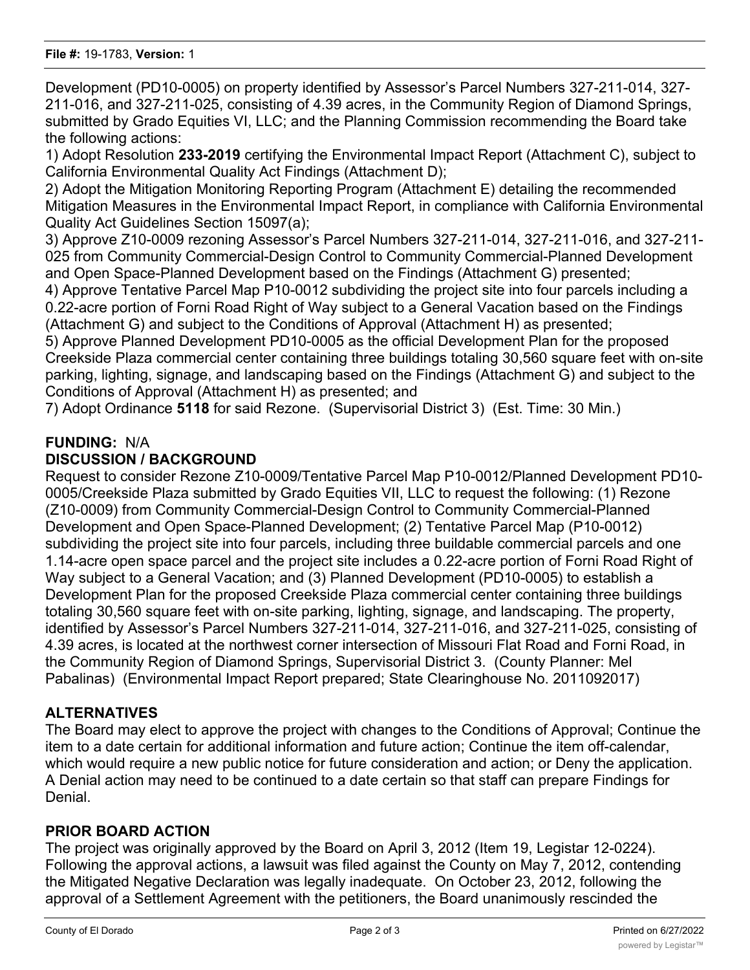Development (PD10-0005) on property identified by Assessor's Parcel Numbers 327-211-014, 327- 211-016, and 327-211-025, consisting of 4.39 acres, in the Community Region of Diamond Springs, submitted by Grado Equities VI, LLC; and the Planning Commission recommending the Board take the following actions:

1) Adopt Resolution **233-2019** certifying the Environmental Impact Report (Attachment C), subject to California Environmental Quality Act Findings (Attachment D);

2) Adopt the Mitigation Monitoring Reporting Program (Attachment E) detailing the recommended Mitigation Measures in the Environmental Impact Report, in compliance with California Environmental Quality Act Guidelines Section 15097(a);

3) Approve Z10-0009 rezoning Assessor's Parcel Numbers 327-211-014, 327-211-016, and 327-211- 025 from Community Commercial-Design Control to Community Commercial-Planned Development and Open Space-Planned Development based on the Findings (Attachment G) presented;

4) Approve Tentative Parcel Map P10-0012 subdividing the project site into four parcels including a 0.22-acre portion of Forni Road Right of Way subject to a General Vacation based on the Findings (Attachment G) and subject to the Conditions of Approval (Attachment H) as presented;

5) Approve Planned Development PD10-0005 as the official Development Plan for the proposed Creekside Plaza commercial center containing three buildings totaling 30,560 square feet with on-site parking, lighting, signage, and landscaping based on the Findings (Attachment G) and subject to the Conditions of Approval (Attachment H) as presented; and

7) Adopt Ordinance **5118** for said Rezone. (Supervisorial District 3) (Est. Time: 30 Min.)

## **FUNDING:** N/A **DISCUSSION / BACKGROUND**

Request to consider Rezone Z10-0009/Tentative Parcel Map P10-0012/Planned Development PD10- 0005/Creekside Plaza submitted by Grado Equities VII, LLC to request the following: (1) Rezone (Z10-0009) from Community Commercial-Design Control to Community Commercial-Planned Development and Open Space-Planned Development; (2) Tentative Parcel Map (P10-0012) subdividing the project site into four parcels, including three buildable commercial parcels and one 1.14-acre open space parcel and the project site includes a 0.22-acre portion of Forni Road Right of Way subject to a General Vacation; and (3) Planned Development (PD10-0005) to establish a Development Plan for the proposed Creekside Plaza commercial center containing three buildings totaling 30,560 square feet with on-site parking, lighting, signage, and landscaping. The property, identified by Assessor's Parcel Numbers 327-211-014, 327-211-016, and 327-211-025, consisting of 4.39 acres, is located at the northwest corner intersection of Missouri Flat Road and Forni Road, in the Community Region of Diamond Springs, Supervisorial District 3. (County Planner: Mel Pabalinas) (Environmental Impact Report prepared; State Clearinghouse No. 2011092017)

## **ALTERNATIVES**

The Board may elect to approve the project with changes to the Conditions of Approval; Continue the item to a date certain for additional information and future action; Continue the item off-calendar, which would require a new public notice for future consideration and action; or Deny the application. A Denial action may need to be continued to a date certain so that staff can prepare Findings for Denial.

## **PRIOR BOARD ACTION**

The project was originally approved by the Board on April 3, 2012 (Item 19, Legistar 12-0224). Following the approval actions, a lawsuit was filed against the County on May 7, 2012, contending the Mitigated Negative Declaration was legally inadequate. On October 23, 2012, following the approval of a Settlement Agreement with the petitioners, the Board unanimously rescinded the